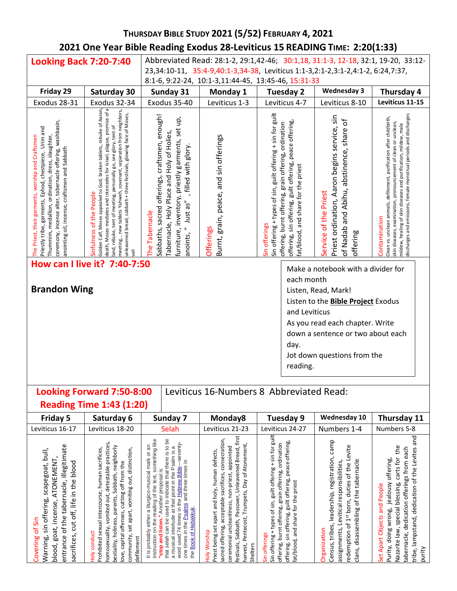# **THURSDAY BIBLE STUDY 2021 (5/52) FEBRUARY 4, 2021 2021 One Year Bible Reading Exodus 28-Leviticus 15 READING TIME: 2:20(1:33)**

| <b>Looking Back 7:20-7:40</b>                                                                                                                                                                                                                                              |                                                                                                                                                                                                                                                                                                                                                                                                  |                                                                 |                                                                                                                                             |                                                            |                                                                              |                                                                                                                                                       |                                                                                                                                                                                                        | Abbreviated Read: 28:1-2, 29:1,42-46; 30:1,18, 31:1-3, 12-18, 32:1, 19-20, 33:12-                                                                                                                                                                                                             |
|----------------------------------------------------------------------------------------------------------------------------------------------------------------------------------------------------------------------------------------------------------------------------|--------------------------------------------------------------------------------------------------------------------------------------------------------------------------------------------------------------------------------------------------------------------------------------------------------------------------------------------------------------------------------------------------|-----------------------------------------------------------------|---------------------------------------------------------------------------------------------------------------------------------------------|------------------------------------------------------------|------------------------------------------------------------------------------|-------------------------------------------------------------------------------------------------------------------------------------------------------|--------------------------------------------------------------------------------------------------------------------------------------------------------------------------------------------------------|-----------------------------------------------------------------------------------------------------------------------------------------------------------------------------------------------------------------------------------------------------------------------------------------------|
|                                                                                                                                                                                                                                                                            |                                                                                                                                                                                                                                                                                                                                                                                                  |                                                                 |                                                                                                                                             |                                                            |                                                                              |                                                                                                                                                       | 23,34:10-11, 35:4-9,40:1-3,34-38, Leviticus 1:1-3,2:1-2,3:1-2,4:1-2, 6:24,7:37,                                                                                                                        |                                                                                                                                                                                                                                                                                               |
| Friday 29                                                                                                                                                                                                                                                                  | Saturday 30                                                                                                                                                                                                                                                                                                                                                                                      |                                                                 | 8:1-6, 9:22-24, 10:1-3,11:44-45, 13:45-46, 15:31-33<br>Sunday 31                                                                            | Monday 1                                                   |                                                                              | Tuesday 2                                                                                                                                             | <b>Wednesday 3</b>                                                                                                                                                                                     | Thursday 4                                                                                                                                                                                                                                                                                    |
| Exodus 28-31                                                                                                                                                                                                                                                               | Exodus 32-34                                                                                                                                                                                                                                                                                                                                                                                     |                                                                 | Exodus 35-40                                                                                                                                | Leviticus 1-3                                              |                                                                              | Leviticus 4-7                                                                                                                                         | Leviticus 8-10                                                                                                                                                                                         | Leviticus 11-15                                                                                                                                                                                                                                                                               |
| ceremony, incense alter, tabernacle offering, washbasin,<br>Priestly tribe, garments, Ephod, chestpiece, Urim and<br>he Priest, their garments, worship and Craftsmen<br>Thummim, medallion, ordination, dress, slaughter<br>anointing oil, incense, craftsmen and Sabbath | eath, Moses mediates and intercedes for Israel, plague, promise of a<br>solden Calf, Moses appealed to God, broken tablets, rebuke of Aaron,<br>neeting, , new tablets Yahweh, covenant, separation from neighbors,<br>inleavened bread, sabbath + three festivals, glowing face of Moses,<br>and, rebuke, tent of meeting, personally go, see glory, tent of<br>infulness of the People<br>reil | sabbaths, sacred offerings, craftsmen, enough!<br>he Tabernacle | urniture, inventory, priestly garments, set up,<br>abernacle, Holy Place and Holy of Holies,<br>, filled with glory.<br>anoints, " Just as" | Burnt, grain, peace, and sin offerings<br><b>Offerings</b> | Sin offering + types of sin, guilt offering + sin for guilt<br>Sin offerings | offering, sin offering, guilt offering, peace offering,<br>offering, burnt offering, grain offering, ordination<br>at/blood, and share for the priest | Priest ordination, Aaron begins service, sin<br>of Nadab and Abihu, abstinence, share of<br>ervice of the Priest<br>offering                                                                           | mildew, healing of skin diseases and purification, mildew, male<br>discharges and emissions, female menstrual periods and discharges<br>lean vs. unclean animals, defilement, purification after childbirth,<br>kin diseases, examination, pronouncement of clean or unclean,<br>ontamination |
| <b>Brandon Wing</b>                                                                                                                                                                                                                                                        | How can I live it? 7:40-7:50                                                                                                                                                                                                                                                                                                                                                                     |                                                                 |                                                                                                                                             |                                                            |                                                                              | each month<br>and Leviticus<br>day.<br>reading.                                                                                                       | Make a notebook with a divider for<br>Listen, Read, Mark!<br>Listen to the Bible Project Exodus<br>As you read each chapter. Write<br>down a sentence or two about each<br>Jot down questions from the |                                                                                                                                                                                                                                                                                               |
|                                                                                                                                                                                                                                                                            | Looking Forward 7:50-8:00<br><b>Reading Time 1:43 (1:20)</b>                                                                                                                                                                                                                                                                                                                                     |                                                                 | Leviticus 16-Numbers 8 Abbreviated Read:                                                                                                    |                                                            |                                                                              |                                                                                                                                                       |                                                                                                                                                                                                        |                                                                                                                                                                                                                                                                                               |
| Friday 5                                                                                                                                                                                                                                                                   | Saturday 6                                                                                                                                                                                                                                                                                                                                                                                       |                                                                 | Sunday 7                                                                                                                                    | Monday8                                                    |                                                                              | Tuesday 9                                                                                                                                             | Wednesday 10                                                                                                                                                                                           | Thursday 11                                                                                                                                                                                                                                                                                   |
| Leviticus 16-17                                                                                                                                                                                                                                                            | Leviticus 18-20                                                                                                                                                                                                                                                                                                                                                                                  |                                                                 | Selah                                                                                                                                       | Leviticus 21-23                                            |                                                                              | Leviticus 24-27                                                                                                                                       | Numbers 1-4                                                                                                                                                                                            | Numbers 5-8                                                                                                                                                                                                                                                                                   |

| Leviticus 16-17                                                                                                                                                                                                        | Leviticus 18-20                                                                                                                                                                                                                                                                                                       | Selah                                                                                                                                                                                                                                                                                                                                                                                                                                         | Leviticus 21-23                                                                                                                                                                                                                                                                                                         | Leviticus 24-27                                                                                                                                                                                                                                         | Numbers 1-4                                                                                                                                                                                                                                         | Numbers 5-8                                                                                                                                                                                                                                                            |
|------------------------------------------------------------------------------------------------------------------------------------------------------------------------------------------------------------------------|-----------------------------------------------------------------------------------------------------------------------------------------------------------------------------------------------------------------------------------------------------------------------------------------------------------------------|-----------------------------------------------------------------------------------------------------------------------------------------------------------------------------------------------------------------------------------------------------------------------------------------------------------------------------------------------------------------------------------------------------------------------------------------------|-------------------------------------------------------------------------------------------------------------------------------------------------------------------------------------------------------------------------------------------------------------------------------------------------------------------------|---------------------------------------------------------------------------------------------------------------------------------------------------------------------------------------------------------------------------------------------------------|-----------------------------------------------------------------------------------------------------------------------------------------------------------------------------------------------------------------------------------------------------|------------------------------------------------------------------------------------------------------------------------------------------------------------------------------------------------------------------------------------------------------------------------|
| illegitimate<br>Jllud<br>ATONEMENT,<br>blood<br>scapegoat,<br>in the<br>of the tabernacle,<br>sin offering,<br>off, life<br>incense,<br>of Sin<br>ă<br>blood, goat,<br>sacrifices,<br>Warning,<br>Covering<br>entrance | practices,<br>neighborly<br>sacrifices,<br>set apart, vomiting out, distinction,<br>cutting off from the<br>detestable<br>Prohibited sexual intercourse, human<br>bestiality, holiness, parents, Sabbath,<br>vomited out,<br>love, capital offenses,<br>homosexuality,<br>conduct<br>community,<br>defilement<br>Holy | that there is to be<br>on the reading of the text, something like<br>seventy<br>an<br>ω<br>a musical interlude at that point in the Psalm is<br>either a liturgico-musical mark or<br>and three times in<br>Hebrew Bible<br>Another proposal is<br>used to indicate<br>word used 74 times in the<br>salms<br>the Book of Habakkuk.<br>"stop and listen."<br>உ<br>selah can be<br>times in the<br>It is probably<br>instruction<br>that<br>one | festivals, Sabbath, Passover, Unleavened Bread, first<br>consecration<br>Trumpets, Day of Atonement,<br>appointed<br>defects,<br>human<br>sacred offering, acceptable sacrifices,<br>ceremonial uncleanliness, non-priest,<br>set apart and holy,<br>Pentecost,<br>Holy Worship<br>Priest being<br>harvest,<br>Shelters | guilt offering + sin for guilt<br>sin offering, guilt offering, peace offering,<br>ordination<br>offering, burnt offering, grain offering,<br>the priest<br>Sin offering + types of sin,<br>ιğ<br>and share<br>Sin offerings<br>fat/blood,<br>offering, | camp<br>evite<br>registration,<br>tabernacle<br>duties of the L<br>Levitical responsibilities<br>disassembling of the<br>leadership,<br>$1st$ born,<br>$\mathfrak{b}$<br>tribes,<br>assignments,<br>Organization<br>redemption<br>Census,<br>clans, | 엳<br>the<br>tabernacle, dedication offerings from each<br>the Levites<br>for<br>offering,<br>carts<br>lampstand, dedication of<br>jealousy<br>blessing,<br>Apart Objects and People<br>special<br>doing wrong,<br>Nazarite law,<br>Purity,<br>purity<br>tribe,<br>Set. |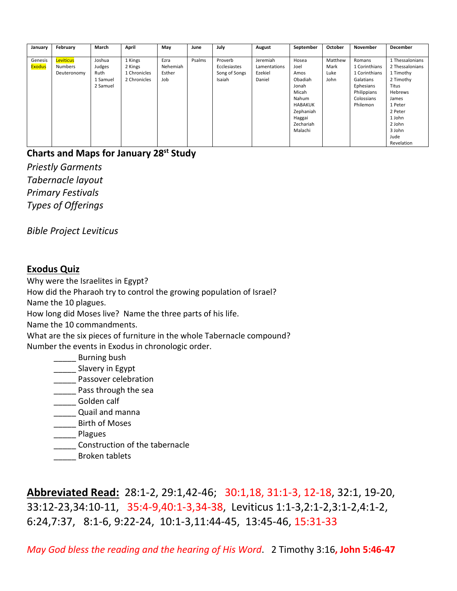| January       | February       | March    | April        | May      | June   | July          | August       | September      | October | November      | December        |
|---------------|----------------|----------|--------------|----------|--------|---------------|--------------|----------------|---------|---------------|-----------------|
|               |                |          |              |          |        |               |              |                |         |               |                 |
| Genesis       | Leviticus      | Joshua   | 1 Kings      | Ezra     | Psalms | Proverb       | Jeremiah     | Hosea          | Matthew | Romans        | 1 Thessalonians |
| <b>Exodus</b> | <b>Numbers</b> | Judges   | 2 Kings      | Nehemiah |        | Ecclesiastes  | Lamentations | Joel           | Mark    | 1 Corinthians | 2 Thessalonians |
|               | Deuteronomy    | Ruth     | 1 Chronicles | Esther   |        | Song of Songs | Ezekiel      | Amos           | Luke    | 1 Corinthians | 1 Timothy       |
|               |                | 1 Samuel | 2 Chronicles | Job      |        | Isaiah        | Daniel       | Obadiah        | John    | Galatians     | 2 Timothy       |
|               |                | 2 Samuel |              |          |        |               |              | Jonah          |         | Ephesians     | Titus           |
|               |                |          |              |          |        |               |              | Micah          |         | Philippians   | Hebrews         |
|               |                |          |              |          |        |               |              | Nahum          |         | Colossians    | James           |
|               |                |          |              |          |        |               |              | <b>HABAKUK</b> |         | Philemon      | 1 Peter         |
|               |                |          |              |          |        |               |              | Zephaniah      |         |               | 2 Peter         |
|               |                |          |              |          |        |               |              | Haggai         |         |               | 1 John          |
|               |                |          |              |          |        |               |              | Zechariah      |         |               | 2 John          |
|               |                |          |              |          |        |               |              | Malachi        |         |               | 3 John          |
|               |                |          |              |          |        |               |              |                |         |               | Jude            |
|               |                |          |              |          |        |               |              |                |         |               | Revelation      |

# **Charts and Maps for January 28st Study**

*Priestly Garments Tabernacle layout Primary Festivals Types of Offerings*

*Bible Project Leviticus*

# **Exodus Quiz**

Why were the Israelites in Egypt? How did the Pharaoh try to control the growing population of Israel? Name the 10 plagues. How long did Moses live? Name the three parts of his life. Name the 10 commandments. What are the six pieces of furniture in the whole Tabernacle compound? Number the events in Exodus in chronologic order. \_\_\_\_\_ Burning bush \_\_\_\_\_ Slavery in Egypt **\_\_\_\_\_** Passover celebration \_\_\_\_\_ Pass through the sea

\_\_\_\_\_ Golden calf

**\_\_\_\_\_\_** Quail and manna

\_\_\_\_\_ Birth of Moses

\_\_\_\_\_ Plagues

**\_\_\_\_\_** Construction of the tabernacle

\_\_\_\_\_ Broken tablets

**Abbreviated Read:** 28:1-2, 29:1,42-46; 30:1,18, 31:1-3, 12-18, 32:1, 19-20, 33:12-23,34:10-11, 35:4-9,40:1-3,34-38, Leviticus 1:1-3,2:1-2,3:1-2,4:1-2, 6:24,7:37, 8:1-6, 9:22-24, 10:1-3,11:44-45, 13:45-46, 15:31-33

*May God bless the reading and the hearing of His Word*. 2 Timothy 3:16**, John 5:46-47**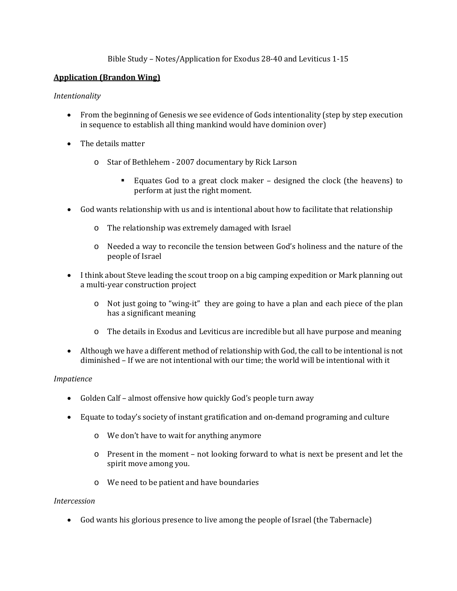## Bible Study – Notes/Application for Exodus 28-40 and Leviticus 1-15

### **Application (Brandon Wing)**

#### *Intentionality*

- From the beginning of Genesis we see evidence of Gods intentionality (step by step execution in sequence to establish all thing mankind would have dominion over)
- The details matter
	- o Star of Bethlehem 2007 documentary by Rick Larson
		- Equates God to a great clock maker designed the clock (the heavens) to perform at just the right moment.
- God wants relationship with us and is intentional about how to facilitate that relationship
	- o The relationship was extremely damaged with Israel
	- o Needed a way to reconcile the tension between God's holiness and the nature of the people of Israel
- I think about Steve leading the scout troop on a big camping expedition or Mark planning out a multi-year construction project
	- o Not just going to "wing-it" they are going to have a plan and each piece of the plan has a significant meaning
	- o The details in Exodus and Leviticus are incredible but all have purpose and meaning
- Although we have a different method of relationship with God, the call to be intentional is not diminished – If we are not intentional with our time; the world will be intentional with it

#### *Impatience*

- Golden Calf almost offensive how quickly God's people turn away
- Equate to today's society of instant gratification and on-demand programing and culture
	- o We don't have to wait for anything anymore
	- o Present in the moment not looking forward to what is next be present and let the spirit move among you.
	- o We need to be patient and have boundaries

#### *Intercession*

• God wants his glorious presence to live among the people of Israel (the Tabernacle)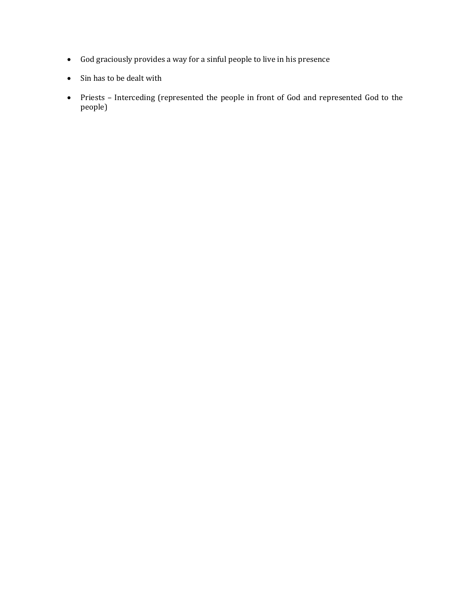- God graciously provides a way for a sinful people to live in his presence
- Sin has to be dealt with
- Priests Interceding (represented the people in front of God and represented God to the people)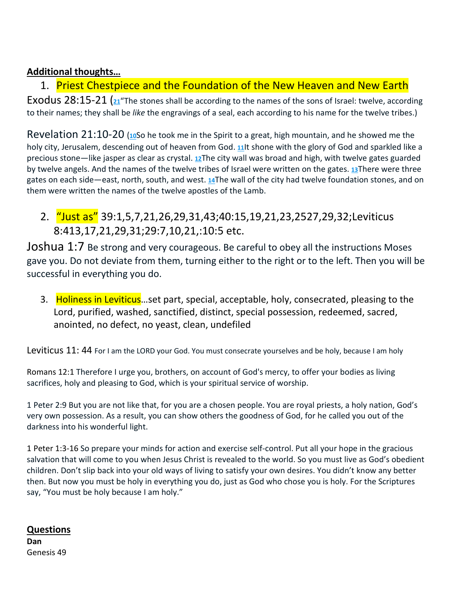# **Additional thoughts…**

# 1. Priest Chestpiece and the Foundation of the New Heaven and New Earth

Exodus 28:15-21 [\(](https://biblehub.com/exodus/28-21.htm)**[21](https://biblehub.com/exodus/28-21.htm)**"The stones shall be according to the names of the sons of Israel: twelve, according to their names; they shall be *like* the engravings of a seal, each according to his name for the twelve tribes.)

Revelation 21:10-20 [\(](http://biblehub.com/revelation/21-10.htm)**[10](http://biblehub.com/revelation/21-10.htm)**So he took me in the Spirit to a great, high mountain, and he showed me the holy city, Jerusalem, descending out of heaven from God. **[11](http://biblehub.com/revelation/21-11.htm)**It shone with the glory of God and sparkled like a precious stone—like jasper as clear as crystal. **[12](http://biblehub.com/revelation/21-12.htm)**The city wall was broad and high, with twelve gates guarded by twelve angels. And the names of the twelve tribes of Israel were written on the gates. **[13](http://biblehub.com/revelation/21-13.htm)**There were three gates on each side—east, north, south, and west. **[14](http://biblehub.com/revelation/21-14.htm)**The wall of the city had twelve foundation stones, and on them were written the names of the twelve apostles of the Lamb.

2. "Just as" 39:1,5,7,21,26,29,31,43;40:15,19,21,23,2527,29,32;Leviticus 8:413,17,21,29,31;29:7,10,21,:10:5 etc.

Joshua 1:7 Be strong and very courageous. Be careful to obey all the instructions Moses gave you. Do not deviate from them, turning either to the right or to the left. Then you will be successful in everything you do.

3. Holiness in Leviticus...set part, special, acceptable, holy, consecrated, pleasing to the Lord, purified, washed, sanctified, distinct, special possession, redeemed, sacred, anointed, no defect, no yeast, clean, undefiled

Leviticus 11: 44 For I am the LORD your God. You must consecrate yourselves and be holy, because I am holy

Romans 12:1 Therefore I urge you, brothers, on account of God's mercy, to offer your bodies as living sacrifices, holy and pleasing to God, which is your spiritual service of worship.

1 Peter 2:9 But you are not like that, for you are a chosen people. You are royal priests, a holy nation, God's very own possession. As a result, you can show others the goodness of God, for he called you out of the darkness into his wonderful light.

1 Peter 1:3-16 So prepare your minds for action and exercise self-control. Put all your hope in the gracious salvation that will come to you when Jesus Christ is revealed to the world. So you must live as God's obedient children. Don't slip back into your old ways of living to satisfy your own desires. You didn't know any better then. But now you must be holy in everything you do, just as God who chose you is holy. For the Scriptures say, "You must be holy because I am holy."

# **Questions Dan** Genesis 49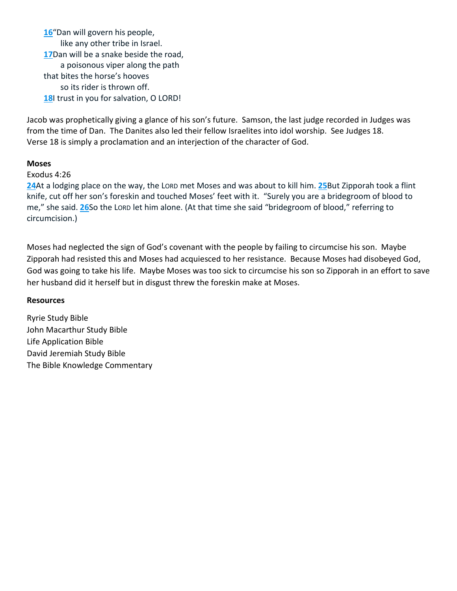**[16](http://biblehub.com/genesis/49-16.htm)**"Dan will govern his people, like any other tribe in Israel. **[17](http://biblehub.com/genesis/49-17.htm)**Dan will be a snake beside the road, a poisonous viper along the path that bites the horse's hooves so its rider is thrown off. **[18](http://biblehub.com/genesis/49-18.htm)**I trust in you for salvation, O LORD!

Jacob was prophetically giving a glance of his son's future. Samson, the last judge recorded in Judges was from the time of Dan. The Danites also led their fellow Israelites into idol worship. See Judges 18. Verse 18 is simply a proclamation and an interjection of the character of God.

## **Moses**

## Exodus 4:26

**[24](http://biblehub.com/exodus/4-24.htm)**At a lodging place on the way, the LORD met Moses and was about to kill him. **[25](http://biblehub.com/exodus/4-25.htm)**But Zipporah took a flint knife, cut off her son's foreskin and touched Moses' feet with it. "Surely you are a bridegroom of blood to me," she said. **[26](http://biblehub.com/exodus/4-26.htm)**So the LORD let him alone. (At that time she said "bridegroom of blood," referring to circumcision.)

Moses had neglected the sign of God's covenant with the people by failing to circumcise his son. Maybe Zipporah had resisted this and Moses had acquiesced to her resistance. Because Moses had disobeyed God, God was going to take his life. Maybe Moses was too sick to circumcise his son so Zipporah in an effort to save her husband did it herself but in disgust threw the foreskin make at Moses.

### **Resources**

Ryrie Study Bible John Macarthur Study Bible Life Application Bible David Jeremiah Study Bible The Bible Knowledge Commentary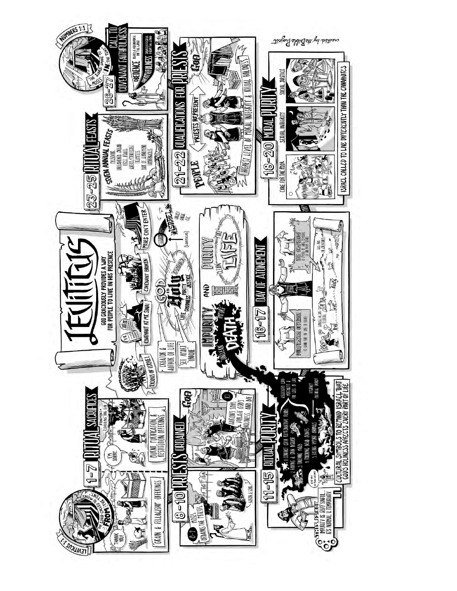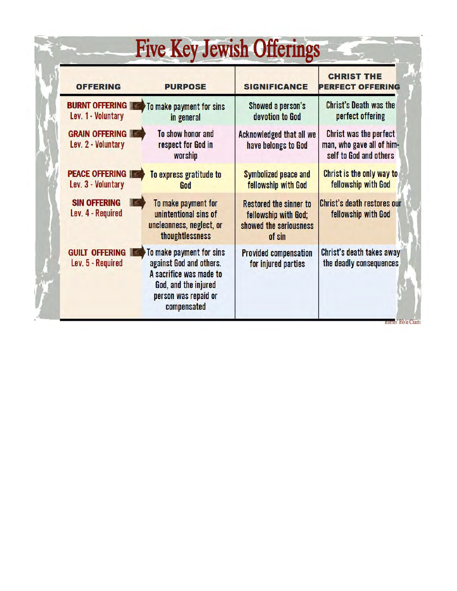| <b>OFFERING</b>                                | <b>PURPOSE</b>                                                                                                                                | <b>SIGNIFICANCE</b>                                                                       | <b>CHRIST THE</b><br><b>PERFECT OFFERING</b>                                  |  |
|------------------------------------------------|-----------------------------------------------------------------------------------------------------------------------------------------------|-------------------------------------------------------------------------------------------|-------------------------------------------------------------------------------|--|
| <b>BURNT OFFERING IF</b><br>Lev. 1 - Voluntary | To make payment for sins<br>in general                                                                                                        | Showed a person's<br>devotion to God                                                      | <b>Christ's Death was the</b><br>perfect offering                             |  |
| <b>GRAIN OFFERING</b><br>Lev. 2 - Voluntary    | To show honor and<br>respect for God in<br>worship                                                                                            | Acknowledged that all we<br>have belongs to God                                           | Christ was the perfect<br>man, who gave all of him-<br>self to God and others |  |
| <b>PEACE OFFERING IF</b><br>Lev. 3 - Voluntary | To express gratitude to<br>God                                                                                                                | <b>Symbolized peace and</b><br>fellowship with God                                        | Christ is the only way to<br>fellowship with God                              |  |
| <b>SIN OFFERING</b><br>Lev. 4 - Required       | To make payment for<br>unintentional sins of<br>uncleanness, neglect, or<br>thoughtlessness                                                   | <b>Restored the sinner to</b><br>fellowship with God;<br>showed the seriousness<br>of sin | <b>Christ's death restores our</b><br>fellowship with God                     |  |
| <b>GUILT OFFERING IN</b><br>Lev. 5 - Required  | To make payment for sins<br>against God and others.<br>A sacrifice was made to<br>God, and the injured<br>person was repaid or<br>compensated | <b>Provided compensation</b><br>for injured parties                                       | Christ's death takes away<br>the deadly consequences                          |  |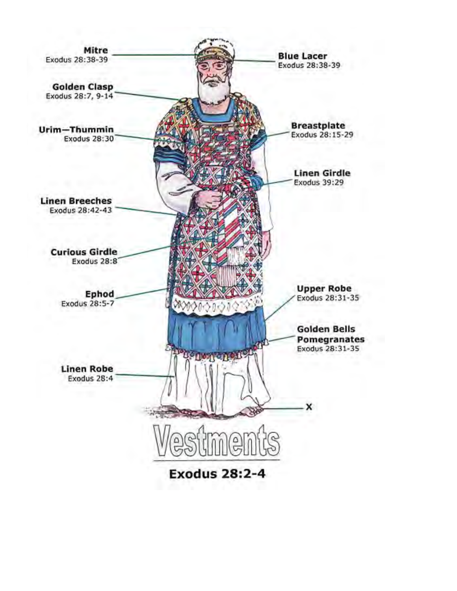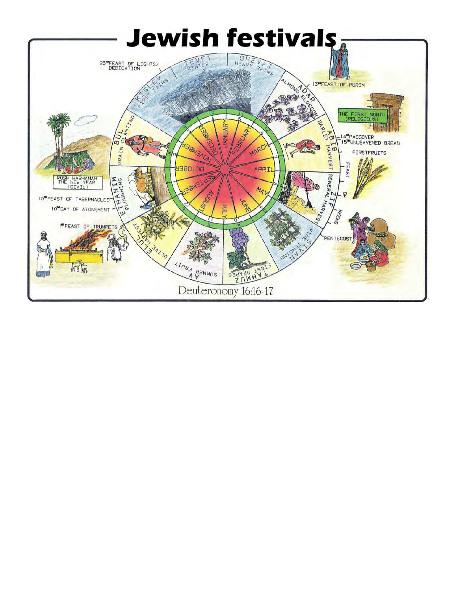